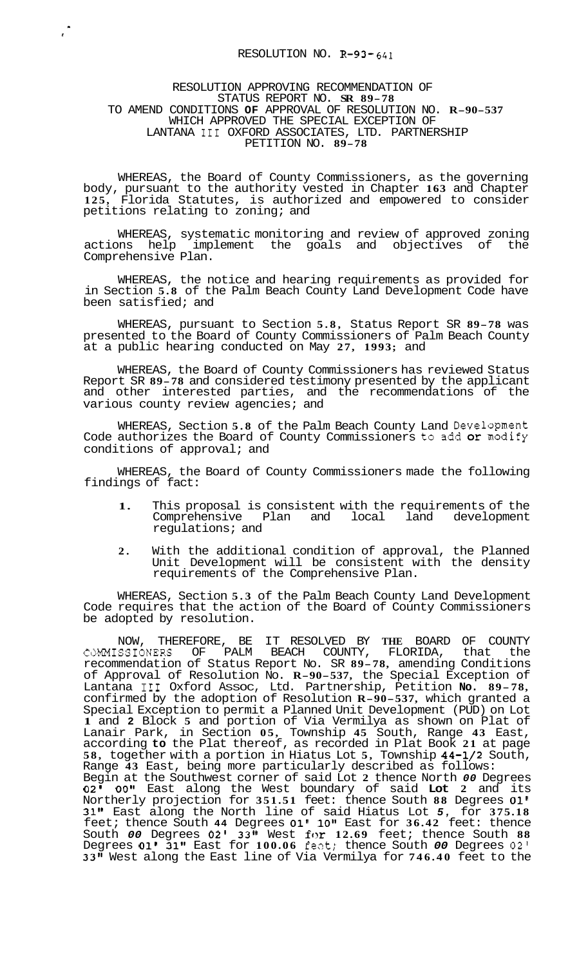## RESOLUTION APPROVING RECOMMENDATION OF STATUS REPORT NO. **SR 89-78**  TO AMEND CONDITIONS **OF** APPROVAL OF RESOLUTION NO. **R-90-537**  WHICH APPROVED THE SPECIAL EXCEPTION OF LANTANA I11 OXFORD ASSOCIATES, LTD. PARTNERSHIP PETITION NO. **89-78**

 $\frac{1}{x}$ 

WHEREAS, the Board of County Commissioners, as the governing body, pursuant to the authority vested in Chapter **163** and Chapter **125,** Florida Statutes, is authorized and empowered to consider petitions relating to zoning; and

WHEREAS, systematic monitoring and review of approved zoning actions help implement the goals and objectives of the Comprehensive Plan.

WHEREAS, the notice and hearing requirements as provided for in Section **5.8** of the Palm Beach County Land Development Code have been satisfied; and

WHEREAS, pursuant to Section **5.8,** Status Report SR **89-78** was presented to the Board of County Commissioners of Palm Beach County at a public hearing conducted on May **27, 1993;** and

WHEREAS, the Board of County Commissioners has reviewed Status Report SR **89-78** and considered testimony presented by the applicant and other interested parties, and the recommendations of the various county review agencies; and

WHEREAS, Section **5.8** of the Palm Beach County Land Development Code authorizes the Board of County Commissioners to add or modify conditions of approval; and

WHEREAS, the Board of County Commissioners made the following findings of fact:

- **1.** This proposal is consistent with the requirements of the Comprehensive Plan and local land regulations; and
- **2.** With the additional condition of approval, the Planned Unit Development will be consistent with the density requirements of the Comprehensive Plan.

WHEREAS, Section **5.3** of the Palm Beach County Land Development Code requires that the action of the Board of County Commissioners be adopted by resolution.

NOW, THEREFORE, BE IT RESOLVED BY **THE** BOARD OF COUNTY CdMMISSIONERS OF PALM BEACH COUNTY, FLORIDA, that the recommendation of Status Report No. SR **89-78,** amending Conditions of Approval of Resolution No. **R-90-537,** the Special Exception of Lantana I11 Oxford ASSOC, Ltd. Partnership, Petition **No. 89- 78,**  confirmed by the adoption of Resolution **R-90-537,** which granted a Special Exception to permit a Planned Unit Development (PUD) on Lot **1** and **2** Block **5** and portion of Via Vermilya as shown on Plat of Lanair Park, in Section **05,** Township **45** South, Range **43** East, according **to** the Plat thereof, as recorded in Plat Book **21** at page **58,** together with a portion in Hiatus Lot **5,** Township **44-1/2** South, Range **43** East, being more particularly described as follows: Begin at the Southwest corner of said Lot **2** thence North *00* Degrees **02' OOtt** East along the West boundary of said **Lot 2** and its Northerly projection for **351.51** feet: thence South **88** Degrees **01' 31tf** East along the North line of said Hiatus Lot *5,* for **375.18**  feet; thence South **44** Degrees **01' 10"** East for **36.42** feet: thence South *00* Degrees **02' 33"** West for **12.69** feet; thence South **88**  Degrees **01' 31"** East for **100.06** fezt: thence South *00* Degrees **02' 33"** West along the East line of Via Vermilya for **746.40** feet to the